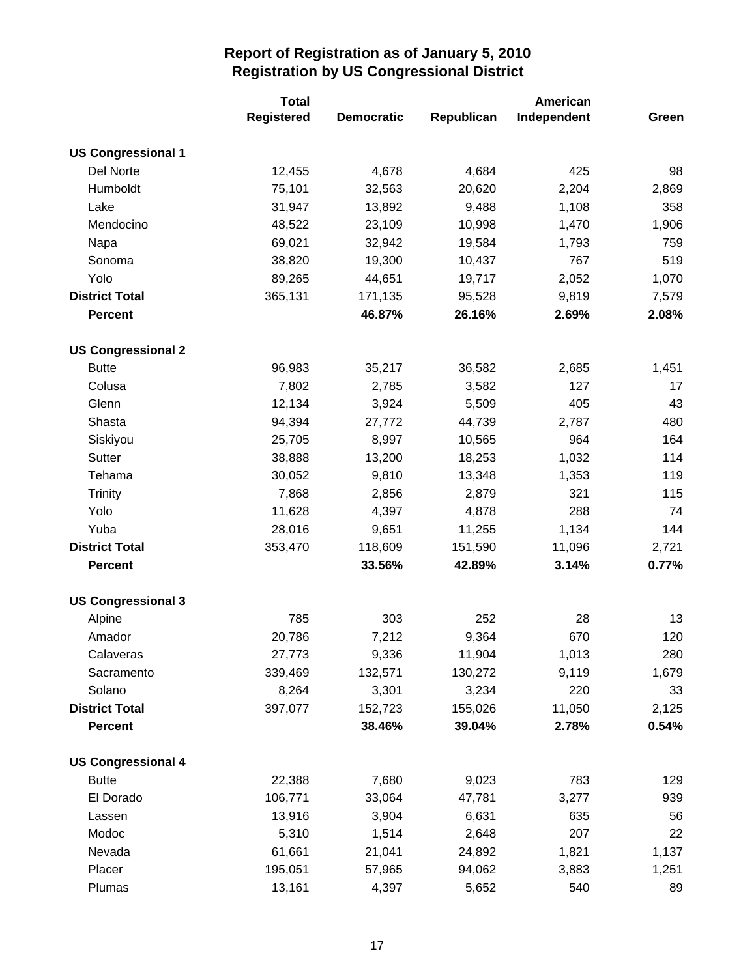|                           | <b>Total</b> |                   |            |             |       |
|---------------------------|--------------|-------------------|------------|-------------|-------|
|                           | Registered   | <b>Democratic</b> | Republican | Independent | Green |
| <b>US Congressional 1</b> |              |                   |            |             |       |
| Del Norte                 | 12,455       | 4,678             | 4,684      | 425         | 98    |
| Humboldt                  | 75,101       | 32,563            | 20,620     | 2,204       | 2,869 |
| Lake                      | 31,947       | 13,892            | 9,488      | 1,108       | 358   |
| Mendocino                 | 48,522       | 23,109            | 10,998     | 1,470       | 1,906 |
| Napa                      | 69,021       | 32,942            | 19,584     | 1,793       | 759   |
| Sonoma                    | 38,820       | 19,300            | 10,437     | 767         | 519   |
| Yolo                      | 89,265       | 44,651            | 19,717     | 2,052       | 1,070 |
| <b>District Total</b>     | 365,131      | 171,135           | 95,528     | 9,819       | 7,579 |
| <b>Percent</b>            |              | 46.87%            | 26.16%     | 2.69%       | 2.08% |
| <b>US Congressional 2</b> |              |                   |            |             |       |
| <b>Butte</b>              | 96,983       | 35,217            | 36,582     | 2,685       | 1,451 |
| Colusa                    | 7,802        | 2,785             | 3,582      | 127         | 17    |
| Glenn                     | 12,134       | 3,924             | 5,509      | 405         | 43    |
| Shasta                    | 94,394       | 27,772            | 44,739     | 2,787       | 480   |
| Siskiyou                  | 25,705       | 8,997             | 10,565     | 964         | 164   |
| Sutter                    | 38,888       | 13,200            | 18,253     | 1,032       | 114   |
| Tehama                    | 30,052       | 9,810             | 13,348     | 1,353       | 119   |
| <b>Trinity</b>            | 7,868        | 2,856             | 2,879      | 321         | 115   |
| Yolo                      | 11,628       | 4,397             | 4,878      | 288         | 74    |
| Yuba                      | 28,016       | 9,651             | 11,255     | 1,134       | 144   |
| <b>District Total</b>     | 353,470      | 118,609           | 151,590    | 11,096      | 2,721 |
| <b>Percent</b>            |              | 33.56%            | 42.89%     | 3.14%       | 0.77% |
| <b>US Congressional 3</b> |              |                   |            |             |       |
| Alpine                    | 785          | 303               | 252        | 28          | 13    |
| Amador                    | 20,786       | 7,212             | 9,364      | 670         | 120   |
| Calaveras                 | 27,773       | 9,336             | 11,904     | 1,013       | 280   |
| Sacramento                | 339,469      | 132,571           | 130,272    | 9,119       | 1,679 |
| Solano                    | 8,264        | 3,301             | 3,234      | 220         | 33    |
| <b>District Total</b>     | 397,077      | 152,723           | 155,026    | 11,050      | 2,125 |
| <b>Percent</b>            |              | 38.46%            | 39.04%     | 2.78%       | 0.54% |
| <b>US Congressional 4</b> |              |                   |            |             |       |
| <b>Butte</b>              | 22,388       | 7,680             | 9,023      | 783         | 129   |
| El Dorado                 | 106,771      | 33,064            | 47,781     | 3,277       | 939   |
| Lassen                    | 13,916       | 3,904             | 6,631      | 635         | 56    |
| Modoc                     | 5,310        | 1,514             | 2,648      | 207         | 22    |
| Nevada                    | 61,661       | 21,041            | 24,892     | 1,821       | 1,137 |
| Placer                    | 195,051      | 57,965            | 94,062     | 3,883       | 1,251 |
| Plumas                    | 13,161       | 4,397             | 5,652      | 540         | 89    |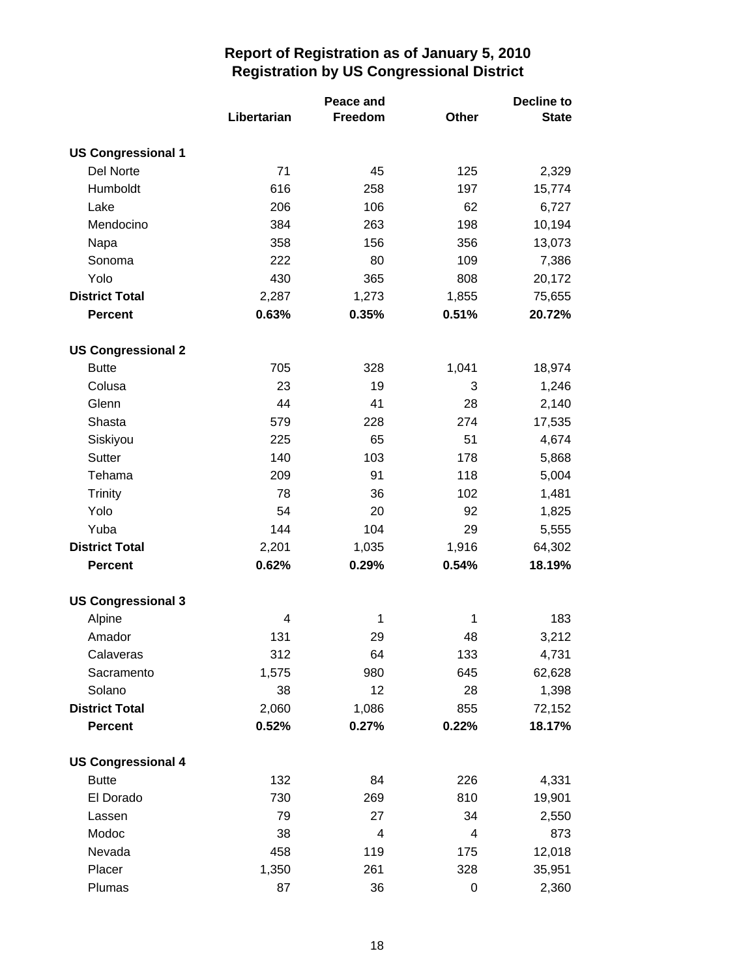|                           |             | Peace and |              | <b>Decline to</b> |  |
|---------------------------|-------------|-----------|--------------|-------------------|--|
|                           | Libertarian | Freedom   | <b>Other</b> | <b>State</b>      |  |
| <b>US Congressional 1</b> |             |           |              |                   |  |
| Del Norte                 | 71          | 45        | 125          | 2,329             |  |
| Humboldt                  | 616         | 258       | 197          | 15,774            |  |
| Lake                      | 206         | 106       | 62           | 6,727             |  |
| Mendocino                 | 384         | 263       | 198          | 10,194            |  |
| Napa                      | 358         | 156       | 356          | 13,073            |  |
| Sonoma                    | 222         | 80        | 109          | 7,386             |  |
| Yolo                      | 430         | 365       | 808          | 20,172            |  |
| <b>District Total</b>     | 2,287       | 1,273     | 1,855        | 75,655            |  |
| <b>Percent</b>            | 0.63%       | 0.35%     | 0.51%        | 20.72%            |  |
| <b>US Congressional 2</b> |             |           |              |                   |  |
| <b>Butte</b>              | 705         | 328       | 1,041        | 18,974            |  |
| Colusa                    | 23          | 19        | 3            | 1,246             |  |
| Glenn                     | 44          | 41        | 28           | 2,140             |  |
| Shasta                    | 579         | 228       | 274          | 17,535            |  |
| Siskiyou                  | 225         | 65        | 51           | 4,674             |  |
| <b>Sutter</b>             | 140         | 103       | 178          | 5,868             |  |
| Tehama                    | 209         | 91        | 118          | 5,004             |  |
| <b>Trinity</b>            | 78          | 36        | 102          | 1,481             |  |
| Yolo                      | 54          | 20        | 92           | 1,825             |  |
| Yuba                      | 144         | 104       | 29           | 5,555             |  |
| <b>District Total</b>     | 2,201       | 1,035     | 1,916        | 64,302            |  |
| <b>Percent</b>            | 0.62%       | 0.29%     | 0.54%        | 18.19%            |  |
| <b>US Congressional 3</b> |             |           |              |                   |  |
| Alpine                    | 4           | 1         | 1            | 183               |  |
| Amador                    | 131         | 29        | 48           | 3,212             |  |
| Calaveras                 | 312         | 64        | 133          | 4,731             |  |
| Sacramento                | 1,575       | 980       | 645          | 62,628            |  |
| Solano                    | 38          | 12        | 28           | 1,398             |  |
| <b>District Total</b>     | 2,060       | 1,086     | 855          | 72,152            |  |
| <b>Percent</b>            | 0.52%       | 0.27%     | 0.22%        | 18.17%            |  |
| <b>US Congressional 4</b> |             |           |              |                   |  |
| <b>Butte</b>              | 132         | 84        | 226          | 4,331             |  |
| El Dorado                 | 730         | 269       | 810          | 19,901            |  |
| Lassen                    | 79          | 27        | 34           | 2,550             |  |
| Modoc                     | 38          | 4         | 4            | 873               |  |
| Nevada                    | 458         | 119       | 175          | 12,018            |  |
| Placer                    | 1,350       | 261       | 328          | 35,951            |  |
| Plumas                    | 87          | 36        | 0            | 2,360             |  |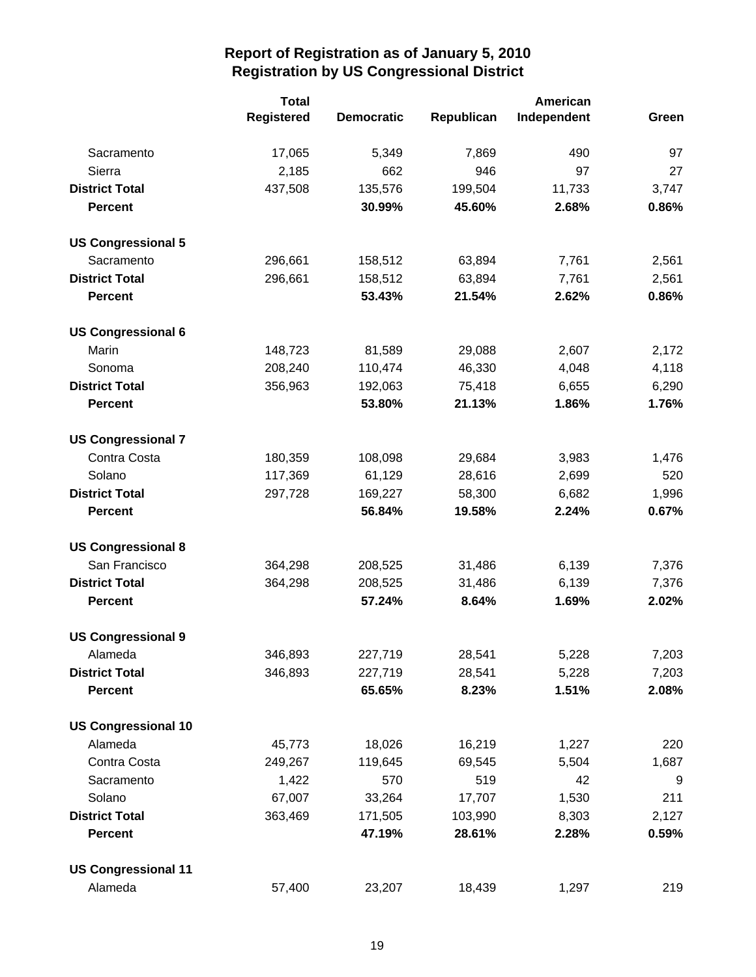|                            | <b>Total</b>      |                   |            | American    |       |
|----------------------------|-------------------|-------------------|------------|-------------|-------|
|                            | <b>Registered</b> | <b>Democratic</b> | Republican | Independent | Green |
| Sacramento                 | 17,065            | 5,349             | 7,869      | 490         | 97    |
| Sierra                     | 2,185             | 662               | 946        | 97          | 27    |
| <b>District Total</b>      | 437,508           | 135,576           | 199,504    | 11,733      | 3,747 |
| <b>Percent</b>             |                   | 30.99%            | 45.60%     | 2.68%       | 0.86% |
| <b>US Congressional 5</b>  |                   |                   |            |             |       |
| Sacramento                 | 296,661           | 158,512           | 63,894     | 7,761       | 2,561 |
| <b>District Total</b>      | 296,661           | 158,512           | 63,894     | 7,761       | 2,561 |
| <b>Percent</b>             |                   | 53.43%            | 21.54%     | 2.62%       | 0.86% |
| <b>US Congressional 6</b>  |                   |                   |            |             |       |
| Marin                      | 148,723           | 81,589            | 29,088     | 2,607       | 2,172 |
| Sonoma                     | 208,240           | 110,474           | 46,330     | 4,048       | 4,118 |
| <b>District Total</b>      | 356,963           | 192,063           | 75,418     | 6,655       | 6,290 |
| <b>Percent</b>             |                   | 53.80%            | 21.13%     | 1.86%       | 1.76% |
| <b>US Congressional 7</b>  |                   |                   |            |             |       |
| Contra Costa               | 180,359           | 108,098           | 29,684     | 3,983       | 1,476 |
| Solano                     | 117,369           | 61,129            | 28,616     | 2,699       | 520   |
| <b>District Total</b>      | 297,728           | 169,227           | 58,300     | 6,682       | 1,996 |
| <b>Percent</b>             |                   | 56.84%            | 19.58%     | 2.24%       | 0.67% |
| <b>US Congressional 8</b>  |                   |                   |            |             |       |
| San Francisco              | 364,298           | 208,525           | 31,486     | 6,139       | 7,376 |
| <b>District Total</b>      | 364,298           | 208,525           | 31,486     | 6,139       | 7,376 |
| <b>Percent</b>             |                   | 57.24%            | 8.64%      | 1.69%       | 2.02% |
| <b>US Congressional 9</b>  |                   |                   |            |             |       |
| Alameda                    | 346,893           | 227,719           | 28,541     | 5,228       | 7,203 |
| <b>District Total</b>      | 346,893           | 227,719           | 28,541     | 5,228       | 7,203 |
| <b>Percent</b>             |                   | 65.65%            | 8.23%      | 1.51%       | 2.08% |
| <b>US Congressional 10</b> |                   |                   |            |             |       |
| Alameda                    | 45,773            | 18,026            | 16,219     | 1,227       | 220   |
| Contra Costa               | 249,267           | 119,645           | 69,545     | 5,504       | 1,687 |
| Sacramento                 | 1,422             | 570               | 519        | 42          | 9     |
| Solano                     | 67,007            | 33,264            | 17,707     | 1,530       | 211   |
| <b>District Total</b>      | 363,469           | 171,505           | 103,990    | 8,303       | 2,127 |
| <b>Percent</b>             |                   | 47.19%            | 28.61%     | 2.28%       | 0.59% |
| <b>US Congressional 11</b> |                   |                   |            |             |       |
| Alameda                    | 57,400            | 23,207            | 18,439     | 1,297       | 219   |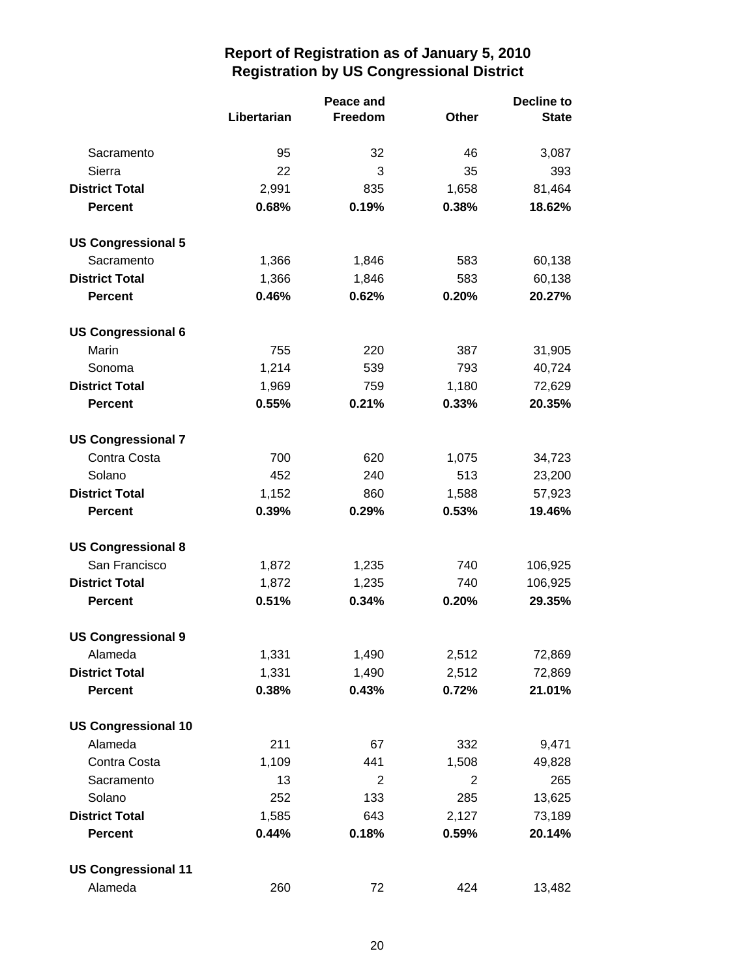|                            |             | Peace and      |       | <b>Decline to</b> |  |
|----------------------------|-------------|----------------|-------|-------------------|--|
|                            | Libertarian | Freedom        | Other | <b>State</b>      |  |
| Sacramento                 | 95          | 32             | 46    | 3,087             |  |
| Sierra                     | 22          | 3              | 35    | 393               |  |
| <b>District Total</b>      | 2,991       | 835            | 1,658 | 81,464            |  |
| <b>Percent</b>             | 0.68%       | 0.19%          | 0.38% | 18.62%            |  |
| <b>US Congressional 5</b>  |             |                |       |                   |  |
| Sacramento                 | 1,366       | 1,846          | 583   | 60,138            |  |
| <b>District Total</b>      | 1,366       | 1,846          | 583   | 60,138            |  |
| <b>Percent</b>             | 0.46%       | 0.62%          | 0.20% | 20.27%            |  |
| <b>US Congressional 6</b>  |             |                |       |                   |  |
| Marin                      | 755         | 220            | 387   | 31,905            |  |
| Sonoma                     | 1,214       | 539            | 793   | 40,724            |  |
| <b>District Total</b>      | 1,969       | 759            | 1,180 | 72,629            |  |
| <b>Percent</b>             | 0.55%       | 0.21%          | 0.33% | 20.35%            |  |
| <b>US Congressional 7</b>  |             |                |       |                   |  |
| Contra Costa               | 700         | 620            | 1,075 | 34,723            |  |
| Solano                     | 452         | 240            | 513   | 23,200            |  |
| <b>District Total</b>      | 1,152       | 860            | 1,588 | 57,923            |  |
| <b>Percent</b>             | 0.39%       | 0.29%          | 0.53% | 19.46%            |  |
| <b>US Congressional 8</b>  |             |                |       |                   |  |
| San Francisco              | 1,872       | 1,235          | 740   | 106,925           |  |
| <b>District Total</b>      | 1,872       | 1,235          | 740   | 106,925           |  |
| <b>Percent</b>             | 0.51%       | 0.34%          | 0.20% | 29.35%            |  |
| <b>US Congressional 9</b>  |             |                |       |                   |  |
| Alameda                    | 1,331       | 1,490          | 2,512 | 72,869            |  |
| <b>District Total</b>      | 1,331       | 1,490          | 2,512 | 72,869            |  |
| <b>Percent</b>             | 0.38%       | 0.43%          | 0.72% | 21.01%            |  |
| <b>US Congressional 10</b> |             |                |       |                   |  |
| Alameda                    | 211         | 67             | 332   | 9,471             |  |
| Contra Costa               | 1,109       | 441            | 1,508 | 49,828            |  |
| Sacramento                 | 13          | $\overline{2}$ | 2     | 265               |  |
| Solano                     | 252         | 133            | 285   | 13,625            |  |
| <b>District Total</b>      | 1,585       | 643            | 2,127 | 73,189            |  |
| <b>Percent</b>             | 0.44%       | 0.18%          | 0.59% | 20.14%            |  |
| <b>US Congressional 11</b> |             |                |       |                   |  |
| Alameda                    | 260         | 72             | 424   | 13,482            |  |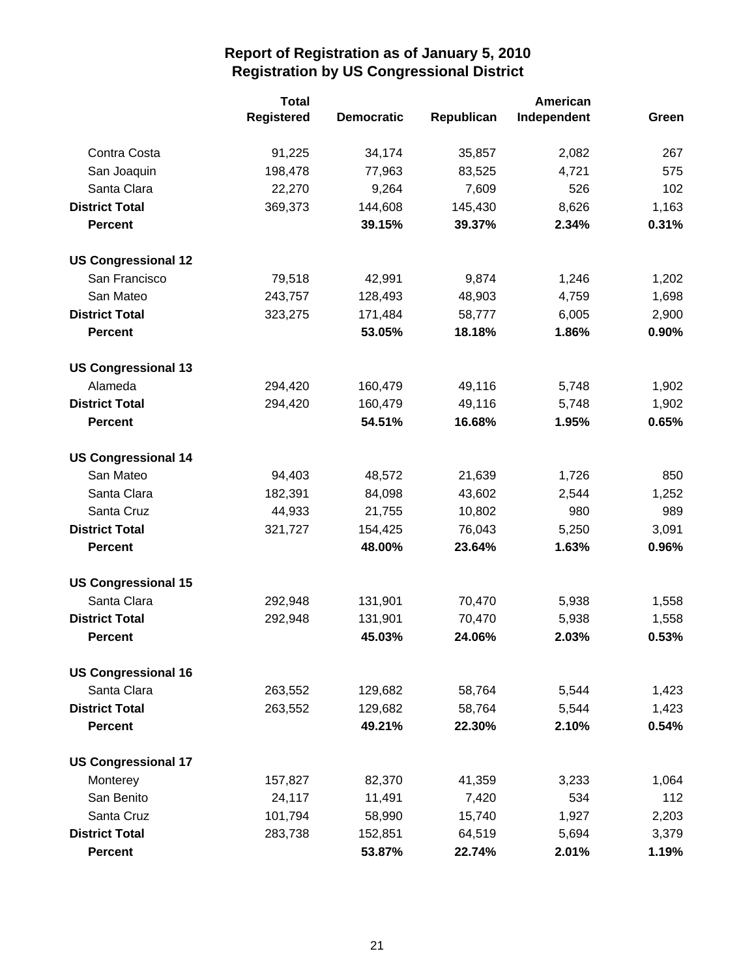|                            | <b>Total</b>      |                   |            | American    |       |
|----------------------------|-------------------|-------------------|------------|-------------|-------|
|                            | <b>Registered</b> | <b>Democratic</b> | Republican | Independent | Green |
| Contra Costa               | 91,225            | 34,174            | 35,857     | 2,082       | 267   |
| San Joaquin                | 198,478           | 77,963            | 83,525     | 4,721       | 575   |
| Santa Clara                | 22,270            | 9,264             | 7,609      | 526         | 102   |
| <b>District Total</b>      | 369,373           | 144,608           | 145,430    | 8,626       | 1,163 |
| <b>Percent</b>             |                   | 39.15%            | 39.37%     | 2.34%       | 0.31% |
| <b>US Congressional 12</b> |                   |                   |            |             |       |
| San Francisco              | 79,518            | 42,991            | 9,874      | 1,246       | 1,202 |
| San Mateo                  | 243,757           | 128,493           | 48,903     | 4,759       | 1,698 |
| <b>District Total</b>      | 323,275           | 171,484           | 58,777     | 6,005       | 2,900 |
| <b>Percent</b>             |                   | 53.05%            | 18.18%     | 1.86%       | 0.90% |
| <b>US Congressional 13</b> |                   |                   |            |             |       |
| Alameda                    | 294,420           | 160,479           | 49,116     | 5,748       | 1,902 |
| <b>District Total</b>      | 294,420           | 160,479           | 49,116     | 5,748       | 1,902 |
| <b>Percent</b>             |                   | 54.51%            | 16.68%     | 1.95%       | 0.65% |
| <b>US Congressional 14</b> |                   |                   |            |             |       |
| San Mateo                  | 94,403            | 48,572            | 21,639     | 1,726       | 850   |
| Santa Clara                | 182,391           | 84,098            | 43,602     | 2,544       | 1,252 |
| Santa Cruz                 | 44,933            | 21,755            | 10,802     | 980         | 989   |
| <b>District Total</b>      | 321,727           | 154,425           | 76,043     | 5,250       | 3,091 |
| <b>Percent</b>             |                   | 48.00%            | 23.64%     | 1.63%       | 0.96% |
| <b>US Congressional 15</b> |                   |                   |            |             |       |
| Santa Clara                | 292,948           | 131,901           | 70,470     | 5,938       | 1,558 |
| <b>District Total</b>      | 292,948           | 131,901           | 70,470     | 5,938       | 1,558 |
| <b>Percent</b>             |                   | 45.03%            | 24.06%     | 2.03%       | 0.53% |
| <b>US Congressional 16</b> |                   |                   |            |             |       |
| Santa Clara                | 263,552           | 129,682           | 58,764     | 5,544       | 1,423 |
| <b>District Total</b>      | 263,552           | 129,682           | 58,764     | 5,544       | 1,423 |
| <b>Percent</b>             |                   | 49.21%            | 22.30%     | 2.10%       | 0.54% |
| <b>US Congressional 17</b> |                   |                   |            |             |       |
| Monterey                   | 157,827           | 82,370            | 41,359     | 3,233       | 1,064 |
| San Benito                 | 24,117            | 11,491            | 7,420      | 534         | 112   |
| Santa Cruz                 | 101,794           | 58,990            | 15,740     | 1,927       | 2,203 |
| <b>District Total</b>      | 283,738           | 152,851           | 64,519     | 5,694       | 3,379 |
| <b>Percent</b>             |                   | 53.87%            | 22.74%     | 2.01%       | 1.19% |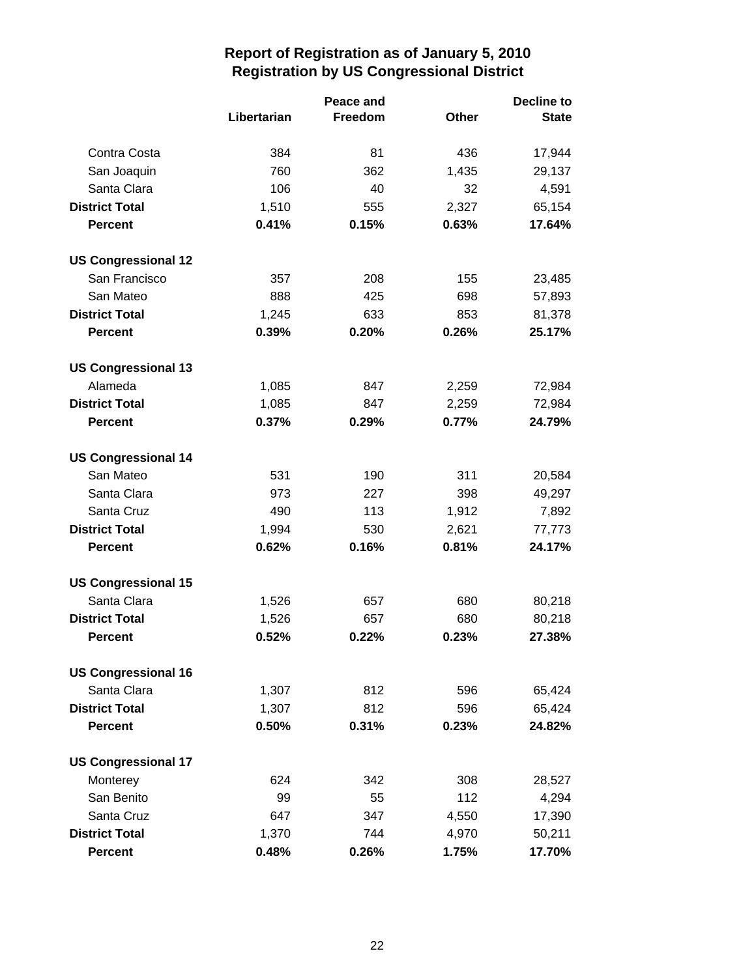|                            |             | Peace and      |       | <b>Decline to</b> |  |
|----------------------------|-------------|----------------|-------|-------------------|--|
|                            | Libertarian | <b>Freedom</b> | Other | <b>State</b>      |  |
| Contra Costa               | 384         | 81             | 436   | 17,944            |  |
| San Joaquin                | 760         | 362            | 1,435 | 29,137            |  |
| Santa Clara                | 106         | 40             | 32    | 4,591             |  |
| <b>District Total</b>      | 1,510       | 555            | 2,327 | 65,154            |  |
| <b>Percent</b>             | 0.41%       | 0.15%          | 0.63% | 17.64%            |  |
| <b>US Congressional 12</b> |             |                |       |                   |  |
| San Francisco              | 357         | 208            | 155   | 23,485            |  |
| San Mateo                  | 888         | 425            | 698   | 57,893            |  |
| <b>District Total</b>      | 1,245       | 633            | 853   | 81,378            |  |
| <b>Percent</b>             | 0.39%       | 0.20%          | 0.26% | 25.17%            |  |
| <b>US Congressional 13</b> |             |                |       |                   |  |
| Alameda                    | 1,085       | 847            | 2,259 | 72,984            |  |
| <b>District Total</b>      | 1,085       | 847            | 2,259 | 72,984            |  |
| <b>Percent</b>             | 0.37%       | 0.29%          | 0.77% | 24.79%            |  |
| <b>US Congressional 14</b> |             |                |       |                   |  |
| San Mateo                  | 531         | 190            | 311   | 20,584            |  |
| Santa Clara                | 973         | 227            | 398   | 49,297            |  |
| Santa Cruz                 | 490         | 113            | 1,912 | 7,892             |  |
| <b>District Total</b>      | 1,994       | 530            | 2,621 | 77,773            |  |
| <b>Percent</b>             | 0.62%       | 0.16%          | 0.81% | 24.17%            |  |
| <b>US Congressional 15</b> |             |                |       |                   |  |
| Santa Clara                | 1,526       | 657            | 680   | 80,218            |  |
| <b>District Total</b>      | 1,526       | 657            | 680   | 80,218            |  |
| <b>Percent</b>             | 0.52%       | 0.22%          | 0.23% | 27.38%            |  |
| <b>US Congressional 16</b> |             |                |       |                   |  |
| Santa Clara                | 1,307       | 812            | 596   | 65,424            |  |
| <b>District Total</b>      | 1,307       | 812            | 596   | 65,424            |  |
| <b>Percent</b>             | 0.50%       | 0.31%          | 0.23% | 24.82%            |  |
| <b>US Congressional 17</b> |             |                |       |                   |  |
| Monterey                   | 624         | 342            | 308   | 28,527            |  |
| San Benito                 | 99          | 55             | 112   | 4,294             |  |
| Santa Cruz                 | 647         | 347            | 4,550 | 17,390            |  |
| <b>District Total</b>      | 1,370       | 744            | 4,970 | 50,211            |  |
| <b>Percent</b>             | 0.48%       | 0.26%          | 1.75% | 17.70%            |  |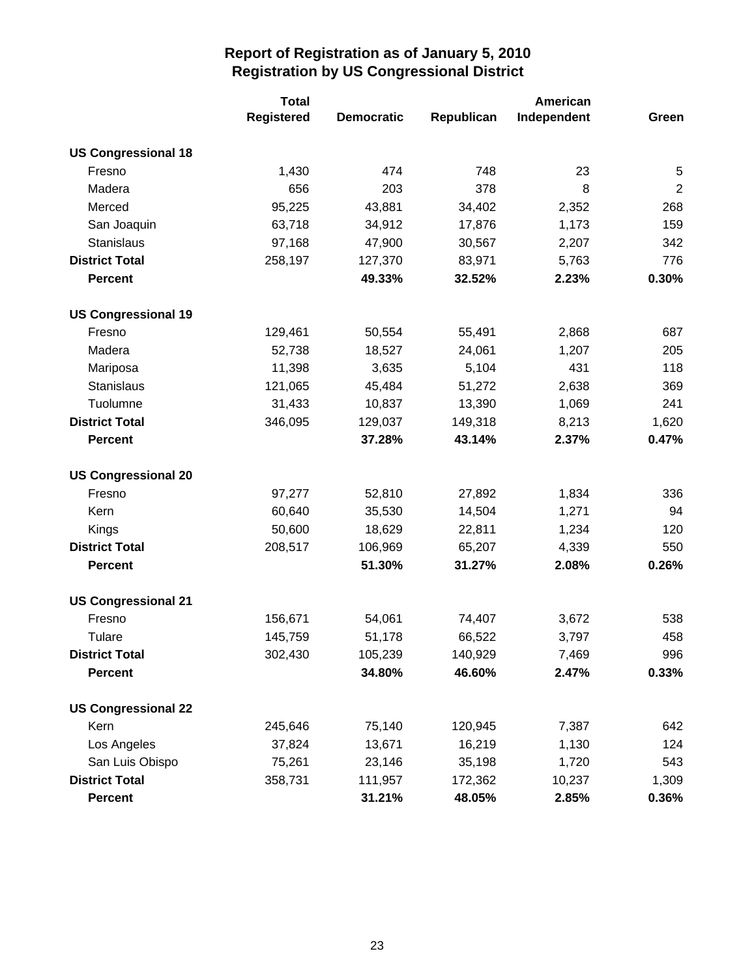|                            | <b>Total</b>      |                   |            |             |                |
|----------------------------|-------------------|-------------------|------------|-------------|----------------|
|                            | <b>Registered</b> | <b>Democratic</b> | Republican | Independent | Green          |
| <b>US Congressional 18</b> |                   |                   |            |             |                |
| Fresno                     | 1,430             | 474               | 748        | 23          | 5              |
| Madera                     | 656               | 203               | 378        | 8           | $\overline{2}$ |
| Merced                     | 95,225            | 43,881            | 34,402     | 2,352       | 268            |
| San Joaquin                | 63,718            | 34,912            | 17,876     | 1,173       | 159            |
| Stanislaus                 | 97,168            | 47,900            | 30,567     | 2,207       | 342            |
| <b>District Total</b>      | 258,197           | 127,370           | 83,971     | 5,763       | 776            |
| <b>Percent</b>             |                   | 49.33%            | 32.52%     | 2.23%       | 0.30%          |
| <b>US Congressional 19</b> |                   |                   |            |             |                |
| Fresno                     | 129,461           | 50,554            | 55,491     | 2,868       | 687            |
| Madera                     | 52,738            | 18,527            | 24,061     | 1,207       | 205            |
| Mariposa                   | 11,398            | 3,635             | 5,104      | 431         | 118            |
| Stanislaus                 | 121,065           | 45,484            | 51,272     | 2,638       | 369            |
| Tuolumne                   | 31,433            | 10,837            | 13,390     | 1,069       | 241            |
| <b>District Total</b>      | 346,095           | 129,037           | 149,318    | 8,213       | 1,620          |
| <b>Percent</b>             |                   | 37.28%            | 43.14%     | 2.37%       | 0.47%          |
| <b>US Congressional 20</b> |                   |                   |            |             |                |
| Fresno                     | 97,277            | 52,810            | 27,892     | 1,834       | 336            |
| Kern                       | 60,640            | 35,530            | 14,504     | 1,271       | 94             |
| Kings                      | 50,600            | 18,629            | 22,811     | 1,234       | 120            |
| <b>District Total</b>      | 208,517           | 106,969           | 65,207     | 4,339       | 550            |
| <b>Percent</b>             |                   | 51.30%            | 31.27%     | 2.08%       | 0.26%          |
| <b>US Congressional 21</b> |                   |                   |            |             |                |
| Fresno                     | 156,671           | 54,061            | 74,407     | 3,672       | 538            |
| Tulare                     | 145,759           | 51,178            | 66,522     | 3,797       | 458            |
| <b>District Total</b>      | 302,430           | 105,239           | 140,929    | 7,469       | 996            |
| <b>Percent</b>             |                   | 34.80%            | 46.60%     | 2.47%       | 0.33%          |
| <b>US Congressional 22</b> |                   |                   |            |             |                |
| Kern                       | 245,646           | 75,140            | 120,945    | 7,387       | 642            |
| Los Angeles                | 37,824            | 13,671            | 16,219     | 1,130       | 124            |
| San Luis Obispo            | 75,261            | 23,146            | 35,198     | 1,720       | 543            |
| <b>District Total</b>      | 358,731           | 111,957           | 172,362    | 10,237      | 1,309          |
| <b>Percent</b>             |                   | 31.21%            | 48.05%     | 2.85%       | 0.36%          |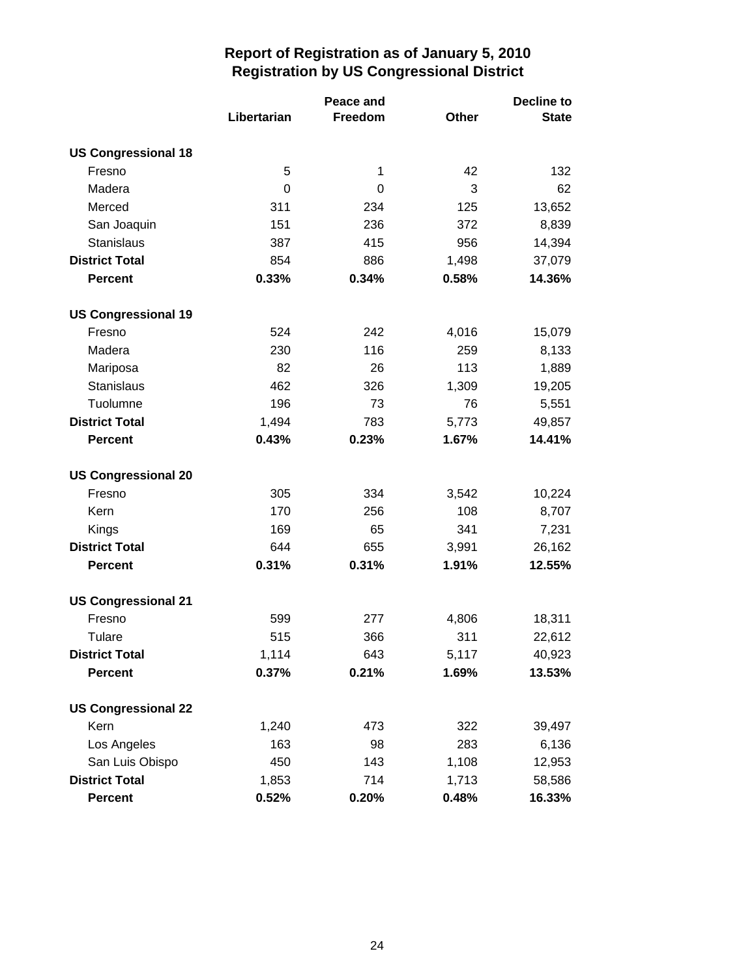|                            |             | Peace and |       | <b>Decline to</b> |  |
|----------------------------|-------------|-----------|-------|-------------------|--|
|                            | Libertarian | Freedom   | Other | <b>State</b>      |  |
| <b>US Congressional 18</b> |             |           |       |                   |  |
| Fresno                     | 5           | 1         | 42    | 132               |  |
| Madera                     | 0           | 0         | 3     | 62                |  |
| Merced                     | 311         | 234       | 125   | 13,652            |  |
| San Joaquin                | 151         | 236       | 372   | 8,839             |  |
| <b>Stanislaus</b>          | 387         | 415       | 956   | 14,394            |  |
| <b>District Total</b>      | 854         | 886       | 1,498 | 37,079            |  |
| <b>Percent</b>             | 0.33%       | 0.34%     | 0.58% | 14.36%            |  |
| <b>US Congressional 19</b> |             |           |       |                   |  |
| Fresno                     | 524         | 242       | 4,016 | 15,079            |  |
| Madera                     | 230         | 116       | 259   | 8,133             |  |
| Mariposa                   | 82          | 26        | 113   | 1,889             |  |
| <b>Stanislaus</b>          | 462         | 326       | 1,309 | 19,205            |  |
| Tuolumne                   | 196         | 73        | 76    | 5,551             |  |
| <b>District Total</b>      | 1,494       | 783       | 5,773 | 49,857            |  |
| <b>Percent</b>             | 0.43%       | 0.23%     | 1.67% | 14.41%            |  |
| <b>US Congressional 20</b> |             |           |       |                   |  |
| Fresno                     | 305         | 334       | 3,542 | 10,224            |  |
| Kern                       | 170         | 256       | 108   | 8,707             |  |
| Kings                      | 169         | 65        | 341   | 7,231             |  |
| <b>District Total</b>      | 644         | 655       | 3,991 | 26,162            |  |
| <b>Percent</b>             | 0.31%       | 0.31%     | 1.91% | 12.55%            |  |
| <b>US Congressional 21</b> |             |           |       |                   |  |
| Fresno                     | 599         | 277       | 4,806 | 18,311            |  |
| Tulare                     | 515         | 366       | 311   | 22,612            |  |
| <b>District Total</b>      | 1,114       | 643       | 5,117 | 40,923            |  |
| <b>Percent</b>             | 0.37%       | 0.21%     | 1.69% | 13.53%            |  |
| <b>US Congressional 22</b> |             |           |       |                   |  |
| Kern                       | 1,240       | 473       | 322   | 39,497            |  |
| Los Angeles                | 163         | 98        | 283   | 6,136             |  |
| San Luis Obispo            | 450         | 143       | 1,108 | 12,953            |  |
| <b>District Total</b>      | 1,853       | 714       | 1,713 | 58,586            |  |
| Percent                    | 0.52%       | 0.20%     | 0.48% | 16.33%            |  |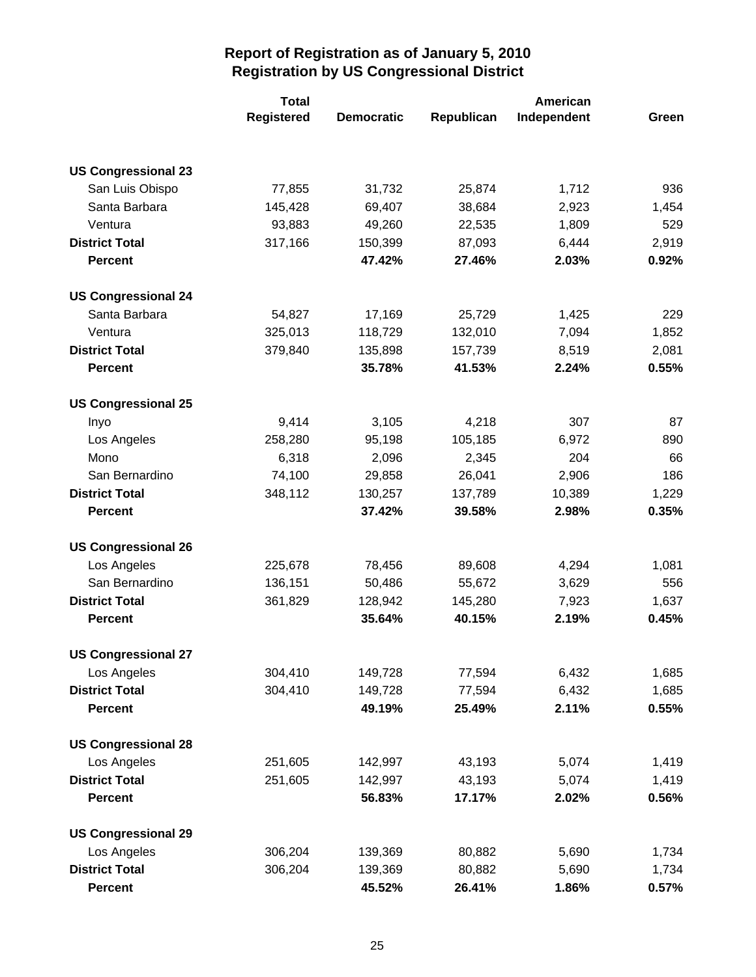|                            | <b>Total</b>      |                   |            |             |       |
|----------------------------|-------------------|-------------------|------------|-------------|-------|
|                            | <b>Registered</b> | <b>Democratic</b> | Republican | Independent | Green |
|                            |                   |                   |            |             |       |
| <b>US Congressional 23</b> |                   |                   |            |             |       |
| San Luis Obispo            | 77,855            | 31,732            | 25,874     | 1,712       | 936   |
| Santa Barbara              | 145,428           | 69,407            | 38,684     | 2,923       | 1,454 |
| Ventura                    | 93,883            | 49,260            | 22,535     | 1,809       | 529   |
| <b>District Total</b>      | 317,166           | 150,399           | 87,093     | 6,444       | 2,919 |
| <b>Percent</b>             |                   | 47.42%            | 27.46%     | 2.03%       | 0.92% |
| <b>US Congressional 24</b> |                   |                   |            |             |       |
| Santa Barbara              | 54,827            | 17,169            | 25,729     | 1,425       | 229   |
| Ventura                    | 325,013           | 118,729           | 132,010    | 7,094       | 1,852 |
| <b>District Total</b>      | 379,840           | 135,898           | 157,739    | 8,519       | 2,081 |
| <b>Percent</b>             |                   | 35.78%            | 41.53%     | 2.24%       | 0.55% |
| <b>US Congressional 25</b> |                   |                   |            |             |       |
| Inyo                       | 9,414             | 3,105             | 4,218      | 307         | 87    |
| Los Angeles                | 258,280           | 95,198            | 105,185    | 6,972       | 890   |
| Mono                       | 6,318             | 2,096             | 2,345      | 204         | 66    |
| San Bernardino             | 74,100            | 29,858            | 26,041     | 2,906       | 186   |
| <b>District Total</b>      | 348,112           | 130,257           | 137,789    | 10,389      | 1,229 |
| <b>Percent</b>             |                   | 37.42%            | 39.58%     | 2.98%       | 0.35% |
| <b>US Congressional 26</b> |                   |                   |            |             |       |
| Los Angeles                | 225,678           | 78,456            | 89,608     | 4,294       | 1,081 |
| San Bernardino             | 136,151           | 50,486            | 55,672     | 3,629       | 556   |
| <b>District Total</b>      | 361,829           | 128,942           | 145,280    | 7,923       | 1,637 |
| <b>Percent</b>             |                   | 35.64%            | 40.15%     | 2.19%       | 0.45% |
| <b>US Congressional 27</b> |                   |                   |            |             |       |
| Los Angeles                | 304,410           | 149,728           | 77,594     | 6,432       | 1,685 |
| <b>District Total</b>      | 304,410           | 149,728           | 77,594     | 6,432       | 1,685 |
| <b>Percent</b>             |                   | 49.19%            | 25.49%     | 2.11%       | 0.55% |
| <b>US Congressional 28</b> |                   |                   |            |             |       |
| Los Angeles                | 251,605           | 142,997           | 43,193     | 5,074       | 1,419 |
| <b>District Total</b>      | 251,605           | 142,997           | 43,193     | 5,074       | 1,419 |
| <b>Percent</b>             |                   | 56.83%            | 17.17%     | 2.02%       | 0.56% |
| <b>US Congressional 29</b> |                   |                   |            |             |       |
| Los Angeles                | 306,204           | 139,369           | 80,882     | 5,690       | 1,734 |
| <b>District Total</b>      | 306,204           | 139,369           | 80,882     | 5,690       | 1,734 |
| <b>Percent</b>             |                   | 45.52%            | 26.41%     | 1.86%       | 0.57% |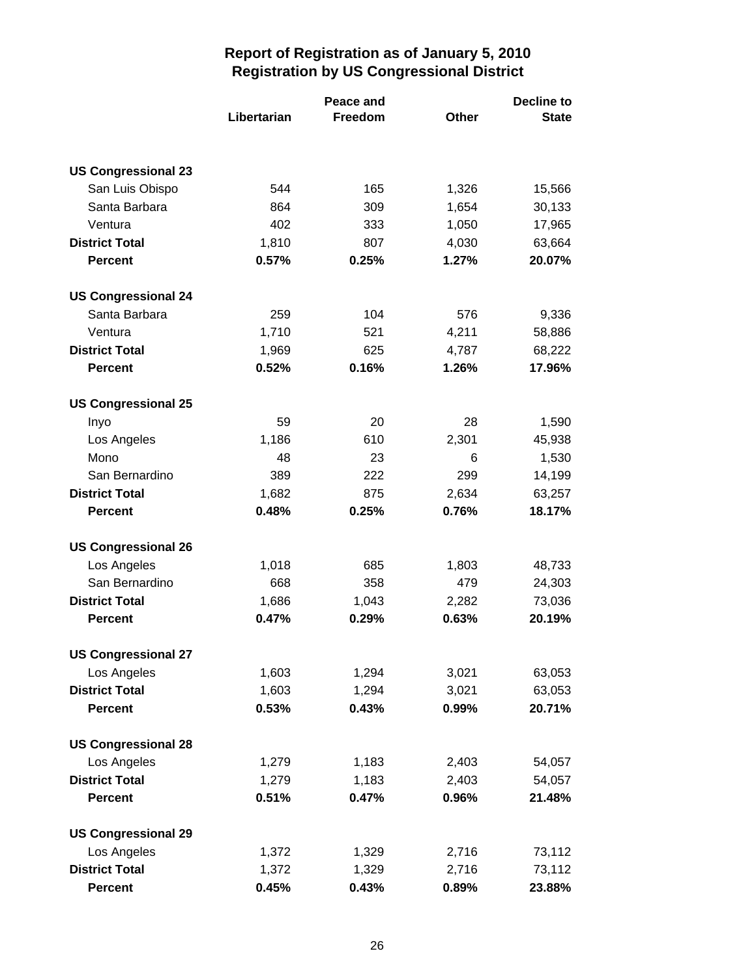|                            |             | Peace and |              | <b>Decline to</b> |  |
|----------------------------|-------------|-----------|--------------|-------------------|--|
|                            | Libertarian | Freedom   | <b>Other</b> | <b>State</b>      |  |
|                            |             |           |              |                   |  |
| <b>US Congressional 23</b> |             |           |              |                   |  |
| San Luis Obispo            | 544         | 165       | 1,326        | 15,566            |  |
| Santa Barbara              | 864         | 309       | 1,654        | 30,133            |  |
| Ventura                    | 402         | 333       | 1,050        | 17,965            |  |
| <b>District Total</b>      | 1,810       | 807       | 4,030        | 63,664            |  |
| <b>Percent</b>             | 0.57%       | 0.25%     | 1.27%        | 20.07%            |  |
| <b>US Congressional 24</b> |             |           |              |                   |  |
| Santa Barbara              | 259         | 104       | 576          | 9,336             |  |
| Ventura                    | 1,710       | 521       | 4,211        | 58,886            |  |
| <b>District Total</b>      | 1,969       | 625       | 4,787        | 68,222            |  |
| <b>Percent</b>             | 0.52%       | 0.16%     | 1.26%        | 17.96%            |  |
| <b>US Congressional 25</b> |             |           |              |                   |  |
| Inyo                       | 59          | 20        | 28           | 1,590             |  |
| Los Angeles                | 1,186       | 610       | 2,301        | 45,938            |  |
| Mono                       | 48          | 23        | 6            | 1,530             |  |
| San Bernardino             | 389         | 222       | 299          | 14,199            |  |
| <b>District Total</b>      | 1,682       | 875       | 2,634        | 63,257            |  |
| <b>Percent</b>             | 0.48%       | 0.25%     | 0.76%        | 18.17%            |  |
| <b>US Congressional 26</b> |             |           |              |                   |  |
| Los Angeles                | 1,018       | 685       | 1,803        | 48,733            |  |
| San Bernardino             | 668         | 358       | 479          | 24,303            |  |
| <b>District Total</b>      | 1,686       | 1,043     | 2,282        | 73,036            |  |
| <b>Percent</b>             | 0.47%       | 0.29%     | 0.63%        | 20.19%            |  |
| <b>US Congressional 27</b> |             |           |              |                   |  |
| Los Angeles                | 1,603       | 1,294     | 3,021        | 63,053            |  |
| <b>District Total</b>      | 1,603       | 1,294     | 3,021        | 63,053            |  |
| <b>Percent</b>             | 0.53%       | 0.43%     | 0.99%        | 20.71%            |  |
| <b>US Congressional 28</b> |             |           |              |                   |  |
| Los Angeles                | 1,279       | 1,183     | 2,403        | 54,057            |  |
| <b>District Total</b>      | 1,279       | 1,183     | 2,403        | 54,057            |  |
| <b>Percent</b>             | 0.51%       | 0.47%     | 0.96%        | 21.48%            |  |
| <b>US Congressional 29</b> |             |           |              |                   |  |
| Los Angeles                | 1,372       | 1,329     | 2,716        | 73,112            |  |
| <b>District Total</b>      | 1,372       | 1,329     | 2,716        | 73,112            |  |
| <b>Percent</b>             | 0.45%       | 0.43%     | 0.89%        | 23.88%            |  |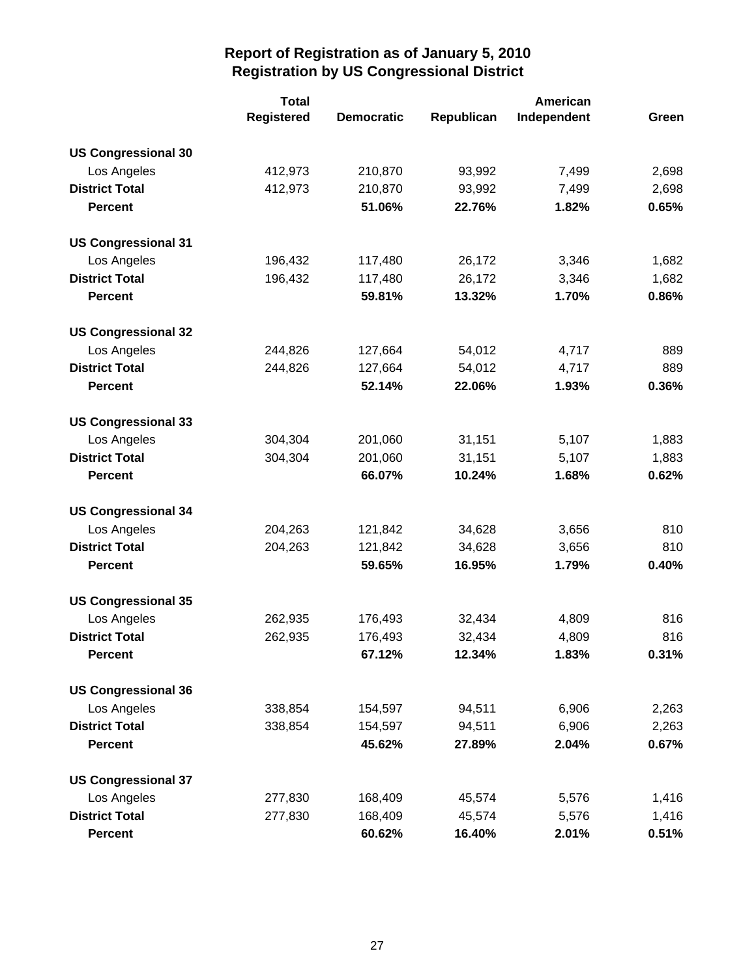|                            | <b>Total</b>      |                   |            | American    |       |  |
|----------------------------|-------------------|-------------------|------------|-------------|-------|--|
|                            | <b>Registered</b> | <b>Democratic</b> | Republican | Independent | Green |  |
| <b>US Congressional 30</b> |                   |                   |            |             |       |  |
| Los Angeles                | 412,973           | 210,870           | 93,992     | 7,499       | 2,698 |  |
| <b>District Total</b>      | 412,973           | 210,870           | 93,992     | 7,499       | 2,698 |  |
| <b>Percent</b>             |                   | 51.06%            | 22.76%     | 1.82%       | 0.65% |  |
| <b>US Congressional 31</b> |                   |                   |            |             |       |  |
| Los Angeles                | 196,432           | 117,480           | 26,172     | 3,346       | 1,682 |  |
| <b>District Total</b>      | 196,432           | 117,480           | 26,172     | 3,346       | 1,682 |  |
| <b>Percent</b>             |                   | 59.81%            | 13.32%     | 1.70%       | 0.86% |  |
| <b>US Congressional 32</b> |                   |                   |            |             |       |  |
| Los Angeles                | 244,826           | 127,664           | 54,012     | 4,717       | 889   |  |
| <b>District Total</b>      | 244,826           | 127,664           | 54,012     | 4,717       | 889   |  |
| <b>Percent</b>             |                   | 52.14%            | 22.06%     | 1.93%       | 0.36% |  |
| <b>US Congressional 33</b> |                   |                   |            |             |       |  |
| Los Angeles                | 304,304           | 201,060           | 31,151     | 5,107       | 1,883 |  |
| <b>District Total</b>      | 304,304           | 201,060           | 31,151     | 5,107       | 1,883 |  |
| <b>Percent</b>             |                   | 66.07%            | 10.24%     | 1.68%       | 0.62% |  |
| <b>US Congressional 34</b> |                   |                   |            |             |       |  |
| Los Angeles                | 204,263           | 121,842           | 34,628     | 3,656       | 810   |  |
| <b>District Total</b>      | 204,263           | 121,842           | 34,628     | 3,656       | 810   |  |
| <b>Percent</b>             |                   | 59.65%            | 16.95%     | 1.79%       | 0.40% |  |
| <b>US Congressional 35</b> |                   |                   |            |             |       |  |
| Los Angeles                | 262,935           | 176,493           | 32,434     | 4,809       | 816   |  |
| <b>District Total</b>      | 262,935           | 176,493           | 32,434     | 4,809       | 816   |  |
| <b>Percent</b>             |                   | 67.12%            | 12.34%     | 1.83%       | 0.31% |  |
| <b>US Congressional 36</b> |                   |                   |            |             |       |  |
| Los Angeles                | 338,854           | 154,597           | 94,511     | 6,906       | 2,263 |  |
| <b>District Total</b>      | 338,854           | 154,597           | 94,511     | 6,906       | 2,263 |  |
| <b>Percent</b>             |                   | 45.62%            | 27.89%     | 2.04%       | 0.67% |  |
| <b>US Congressional 37</b> |                   |                   |            |             |       |  |
| Los Angeles                | 277,830           | 168,409           | 45,574     | 5,576       | 1,416 |  |
| <b>District Total</b>      | 277,830           | 168,409           | 45,574     | 5,576       | 1,416 |  |
| <b>Percent</b>             |                   | 60.62%            | 16.40%     | 2.01%       | 0.51% |  |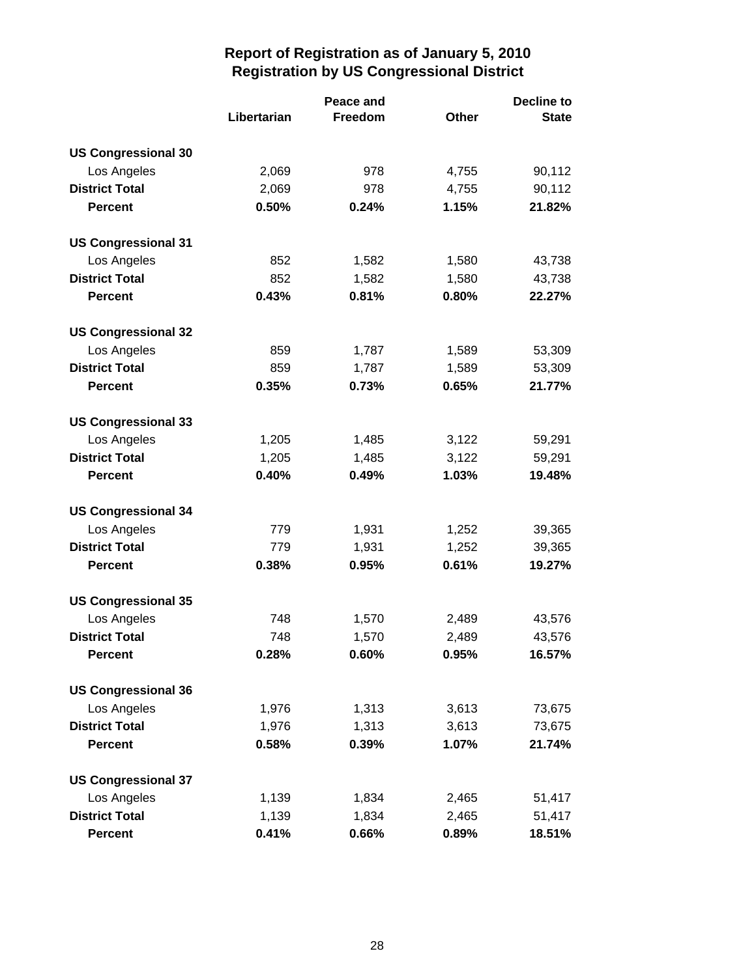|                            |             | Peace and |              | <b>Decline to</b> |  |
|----------------------------|-------------|-----------|--------------|-------------------|--|
|                            | Libertarian | Freedom   | <b>Other</b> | <b>State</b>      |  |
| <b>US Congressional 30</b> |             |           |              |                   |  |
| Los Angeles                | 2,069       | 978       | 4,755        | 90,112            |  |
| <b>District Total</b>      | 2,069       | 978       | 4,755        | 90,112            |  |
| <b>Percent</b>             | 0.50%       | 0.24%     | 1.15%        | 21.82%            |  |
| <b>US Congressional 31</b> |             |           |              |                   |  |
| Los Angeles                | 852         | 1,582     | 1,580        | 43,738            |  |
| <b>District Total</b>      | 852         | 1,582     | 1,580        | 43,738            |  |
| <b>Percent</b>             | 0.43%       | 0.81%     | 0.80%        | 22.27%            |  |
| <b>US Congressional 32</b> |             |           |              |                   |  |
| Los Angeles                | 859         | 1,787     | 1,589        | 53,309            |  |
| <b>District Total</b>      | 859         | 1,787     | 1,589        | 53,309            |  |
| <b>Percent</b>             | 0.35%       | 0.73%     | 0.65%        | 21.77%            |  |
| <b>US Congressional 33</b> |             |           |              |                   |  |
| Los Angeles                | 1,205       | 1,485     | 3,122        | 59,291            |  |
| <b>District Total</b>      | 1,205       | 1,485     | 3,122        | 59,291            |  |
| <b>Percent</b>             | 0.40%       | 0.49%     | 1.03%        | 19.48%            |  |
| <b>US Congressional 34</b> |             |           |              |                   |  |
| Los Angeles                | 779         | 1,931     | 1,252        | 39,365            |  |
| <b>District Total</b>      | 779         | 1,931     | 1,252        | 39,365            |  |
| <b>Percent</b>             | 0.38%       | 0.95%     | 0.61%        | 19.27%            |  |
| <b>US Congressional 35</b> |             |           |              |                   |  |
| Los Angeles                | 748         | 1,570     | 2,489        | 43,576            |  |
| <b>District Total</b>      | 748         | 1,570     | 2,489        | 43,576            |  |
| <b>Percent</b>             | 0.28%       | 0.60%     | 0.95%        | 16.57%            |  |
| <b>US Congressional 36</b> |             |           |              |                   |  |
| Los Angeles                | 1,976       | 1,313     | 3,613        | 73,675            |  |
| <b>District Total</b>      | 1,976       | 1,313     | 3,613        | 73,675            |  |
| <b>Percent</b>             | 0.58%       | 0.39%     | 1.07%        | 21.74%            |  |
| <b>US Congressional 37</b> |             |           |              |                   |  |
| Los Angeles                | 1,139       | 1,834     | 2,465        | 51,417            |  |
| <b>District Total</b>      | 1,139       | 1,834     | 2,465        | 51,417            |  |
| <b>Percent</b>             | 0.41%       | 0.66%     | 0.89%        | 18.51%            |  |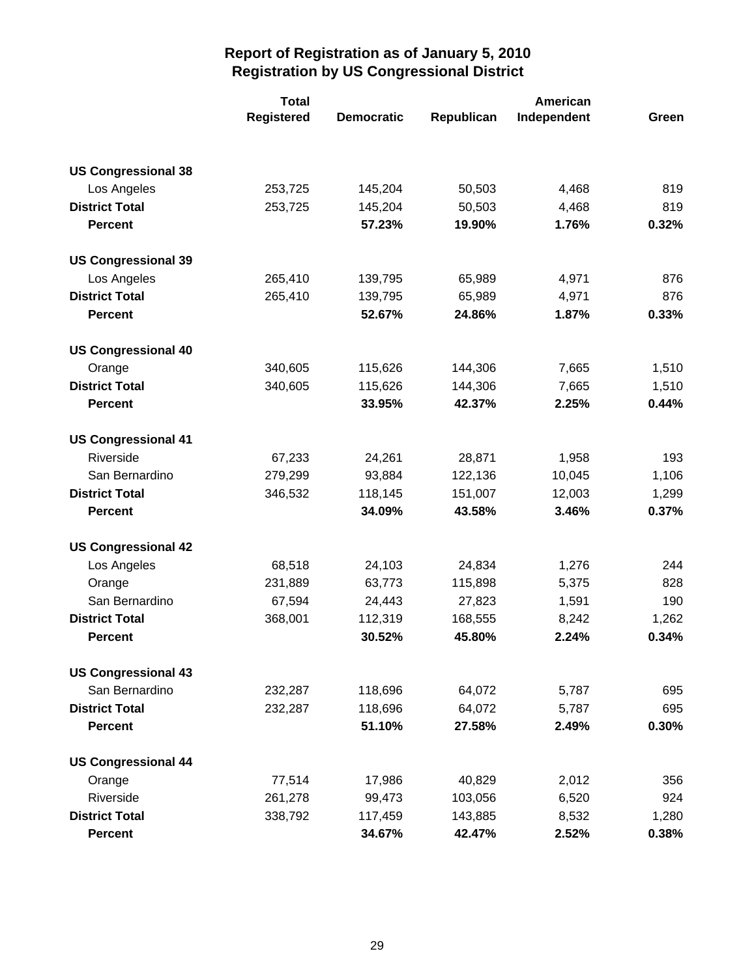|                            | <b>Total</b>      |                   | American   |             |       |
|----------------------------|-------------------|-------------------|------------|-------------|-------|
|                            | <b>Registered</b> | <b>Democratic</b> | Republican | Independent | Green |
|                            |                   |                   |            |             |       |
| <b>US Congressional 38</b> |                   |                   |            |             |       |
| Los Angeles                | 253,725           | 145,204           | 50,503     | 4,468       | 819   |
| <b>District Total</b>      | 253,725           | 145,204           | 50,503     | 4,468       | 819   |
| <b>Percent</b>             |                   | 57.23%            | 19.90%     | 1.76%       | 0.32% |
| <b>US Congressional 39</b> |                   |                   |            |             |       |
| Los Angeles                | 265,410           | 139,795           | 65,989     | 4,971       | 876   |
| <b>District Total</b>      | 265,410           | 139,795           | 65,989     | 4,971       | 876   |
| <b>Percent</b>             |                   | 52.67%            | 24.86%     | 1.87%       | 0.33% |
| <b>US Congressional 40</b> |                   |                   |            |             |       |
| Orange                     | 340,605           | 115,626           | 144,306    | 7,665       | 1,510 |
| <b>District Total</b>      | 340,605           | 115,626           | 144,306    | 7,665       | 1,510 |
| <b>Percent</b>             |                   | 33.95%            | 42.37%     | 2.25%       | 0.44% |
| <b>US Congressional 41</b> |                   |                   |            |             |       |
| Riverside                  | 67,233            | 24,261            | 28,871     | 1,958       | 193   |
| San Bernardino             | 279,299           | 93,884            | 122,136    | 10,045      | 1,106 |
| <b>District Total</b>      | 346,532           | 118,145           | 151,007    | 12,003      | 1,299 |
| <b>Percent</b>             |                   | 34.09%            | 43.58%     | 3.46%       | 0.37% |
| <b>US Congressional 42</b> |                   |                   |            |             |       |
| Los Angeles                | 68,518            | 24,103            | 24,834     | 1,276       | 244   |
| Orange                     | 231,889           | 63,773            | 115,898    | 5,375       | 828   |
| San Bernardino             | 67,594            | 24,443            | 27,823     | 1,591       | 190   |
| <b>District Total</b>      | 368,001           | 112,319           | 168,555    | 8,242       | 1,262 |
| <b>Percent</b>             |                   | 30.52%            | 45.80%     | 2.24%       | 0.34% |
| <b>US Congressional 43</b> |                   |                   |            |             |       |
| San Bernardino             | 232,287           | 118,696           | 64,072     | 5,787       | 695   |
| <b>District Total</b>      | 232,287           | 118,696           | 64,072     | 5,787       | 695   |
| <b>Percent</b>             |                   | 51.10%            | 27.58%     | 2.49%       | 0.30% |
| <b>US Congressional 44</b> |                   |                   |            |             |       |
| Orange                     | 77,514            | 17,986            | 40,829     | 2,012       | 356   |
| Riverside                  | 261,278           | 99,473            | 103,056    | 6,520       | 924   |
| <b>District Total</b>      | 338,792           | 117,459           | 143,885    | 8,532       | 1,280 |
| <b>Percent</b>             |                   | 34.67%            | 42.47%     | 2.52%       | 0.38% |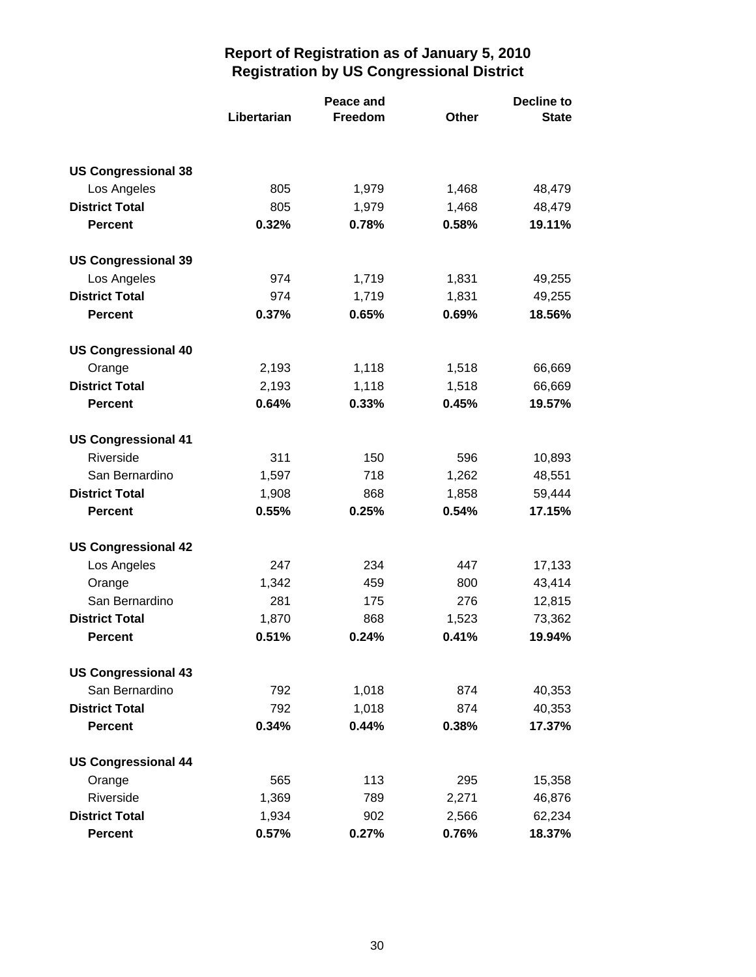|                            | Peace and   |         |              | <b>Decline to</b> |
|----------------------------|-------------|---------|--------------|-------------------|
|                            | Libertarian | Freedom | <b>Other</b> | <b>State</b>      |
| <b>US Congressional 38</b> |             |         |              |                   |
| Los Angeles                | 805         | 1,979   | 1,468        | 48,479            |
| <b>District Total</b>      | 805         | 1,979   | 1,468        | 48,479            |
| <b>Percent</b>             | 0.32%       | 0.78%   | 0.58%        | 19.11%            |
| <b>US Congressional 39</b> |             |         |              |                   |
| Los Angeles                | 974         | 1,719   | 1,831        | 49,255            |
| <b>District Total</b>      | 974         | 1,719   | 1,831        | 49,255            |
| <b>Percent</b>             | 0.37%       | 0.65%   | 0.69%        | 18.56%            |
| <b>US Congressional 40</b> |             |         |              |                   |
| Orange                     | 2,193       | 1,118   | 1,518        | 66,669            |
| <b>District Total</b>      | 2,193       | 1,118   | 1,518        | 66,669            |
| <b>Percent</b>             | 0.64%       | 0.33%   | 0.45%        | 19.57%            |
| <b>US Congressional 41</b> |             |         |              |                   |
| Riverside                  | 311         | 150     | 596          | 10,893            |
| San Bernardino             | 1,597       | 718     | 1,262        | 48,551            |
| <b>District Total</b>      | 1,908       | 868     | 1,858        | 59,444            |
| <b>Percent</b>             | 0.55%       | 0.25%   | 0.54%        | 17.15%            |
| <b>US Congressional 42</b> |             |         |              |                   |
| Los Angeles                | 247         | 234     | 447          | 17,133            |
| Orange                     | 1,342       | 459     | 800          | 43,414            |
| San Bernardino             | 281         | 175     | 276          | 12,815            |
| <b>District Total</b>      | 1,870       | 868     | 1,523        | 73,362            |
| <b>Percent</b>             | 0.51%       | 0.24%   | 0.41%        | 19.94%            |
| <b>US Congressional 43</b> |             |         |              |                   |
| San Bernardino             | 792         | 1,018   | 874          | 40,353            |
| <b>District Total</b>      | 792         | 1,018   | 874          | 40,353            |
| <b>Percent</b>             | 0.34%       | 0.44%   | 0.38%        | 17.37%            |
| <b>US Congressional 44</b> |             |         |              |                   |
| Orange                     | 565         | 113     | 295          | 15,358            |
| Riverside                  | 1,369       | 789     | 2,271        | 46,876            |
| <b>District Total</b>      | 1,934       | 902     | 2,566        | 62,234            |
| <b>Percent</b>             | 0.57%       | 0.27%   | 0.76%        | 18.37%            |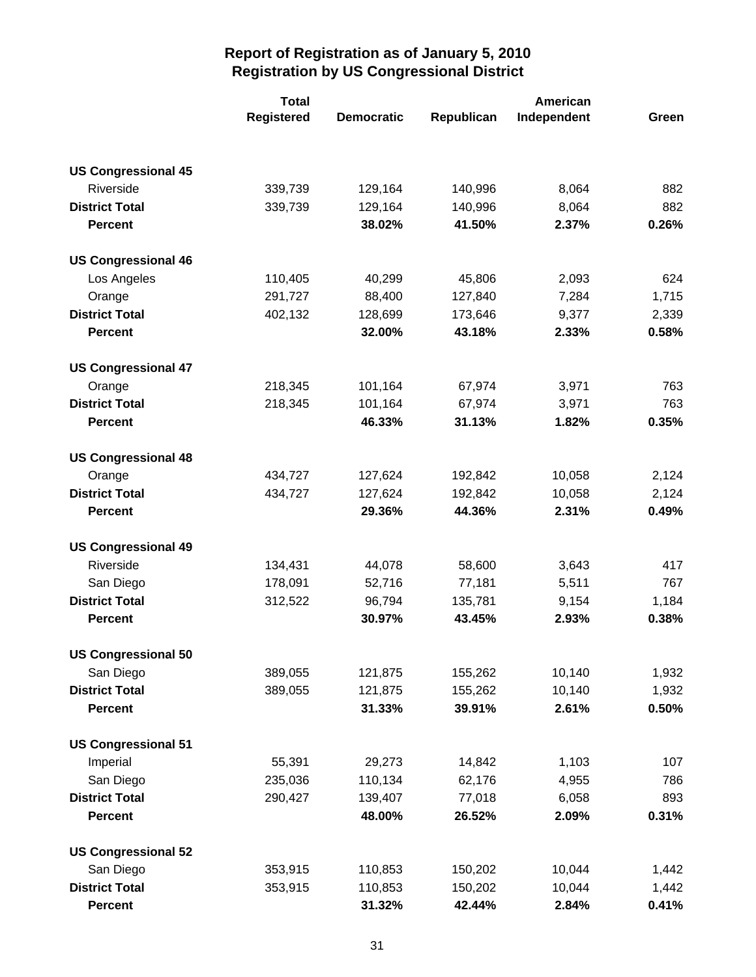|                            | <b>Total</b>      |                   | American   |             |       |
|----------------------------|-------------------|-------------------|------------|-------------|-------|
|                            | <b>Registered</b> | <b>Democratic</b> | Republican | Independent | Green |
|                            |                   |                   |            |             |       |
| <b>US Congressional 45</b> |                   |                   |            |             |       |
| Riverside                  | 339,739           | 129,164           | 140,996    | 8,064       | 882   |
| <b>District Total</b>      | 339,739           | 129,164           | 140,996    | 8,064       | 882   |
| <b>Percent</b>             |                   | 38.02%            | 41.50%     | 2.37%       | 0.26% |
| <b>US Congressional 46</b> |                   |                   |            |             |       |
| Los Angeles                | 110,405           | 40,299            | 45,806     | 2,093       | 624   |
| Orange                     | 291,727           | 88,400            | 127,840    | 7,284       | 1,715 |
| <b>District Total</b>      | 402,132           | 128,699           | 173,646    | 9,377       | 2,339 |
| <b>Percent</b>             |                   | 32.00%            | 43.18%     | 2.33%       | 0.58% |
| <b>US Congressional 47</b> |                   |                   |            |             |       |
| Orange                     | 218,345           | 101,164           | 67,974     | 3,971       | 763   |
| <b>District Total</b>      | 218,345           | 101,164           | 67,974     | 3,971       | 763   |
| <b>Percent</b>             |                   | 46.33%            | 31.13%     | 1.82%       | 0.35% |
| <b>US Congressional 48</b> |                   |                   |            |             |       |
| Orange                     | 434,727           | 127,624           | 192,842    | 10,058      | 2,124 |
| <b>District Total</b>      | 434,727           | 127,624           | 192,842    | 10,058      | 2,124 |
| <b>Percent</b>             |                   | 29.36%            | 44.36%     | 2.31%       | 0.49% |
| <b>US Congressional 49</b> |                   |                   |            |             |       |
| Riverside                  | 134,431           | 44,078            | 58,600     | 3,643       | 417   |
| San Diego                  | 178,091           | 52,716            | 77,181     | 5,511       | 767   |
| <b>District Total</b>      | 312,522           | 96,794            | 135,781    | 9,154       | 1,184 |
| <b>Percent</b>             |                   | 30.97%            | 43.45%     | 2.93%       | 0.38% |
| <b>US Congressional 50</b> |                   |                   |            |             |       |
| San Diego                  | 389,055           | 121,875           | 155,262    | 10,140      | 1,932 |
| <b>District Total</b>      | 389,055           | 121,875           | 155,262    | 10,140      | 1,932 |
| <b>Percent</b>             |                   | 31.33%            | 39.91%     | 2.61%       | 0.50% |
| <b>US Congressional 51</b> |                   |                   |            |             |       |
| Imperial                   | 55,391            | 29,273            | 14,842     | 1,103       | 107   |
| San Diego                  | 235,036           | 110,134           | 62,176     | 4,955       | 786   |
| <b>District Total</b>      | 290,427           | 139,407           | 77,018     | 6,058       | 893   |
| <b>Percent</b>             |                   | 48.00%            | 26.52%     | 2.09%       | 0.31% |
| <b>US Congressional 52</b> |                   |                   |            |             |       |
| San Diego                  | 353,915           | 110,853           | 150,202    | 10,044      | 1,442 |
| <b>District Total</b>      | 353,915           | 110,853           | 150,202    | 10,044      | 1,442 |
| <b>Percent</b>             |                   | 31.32%            | 42.44%     | 2.84%       | 0.41% |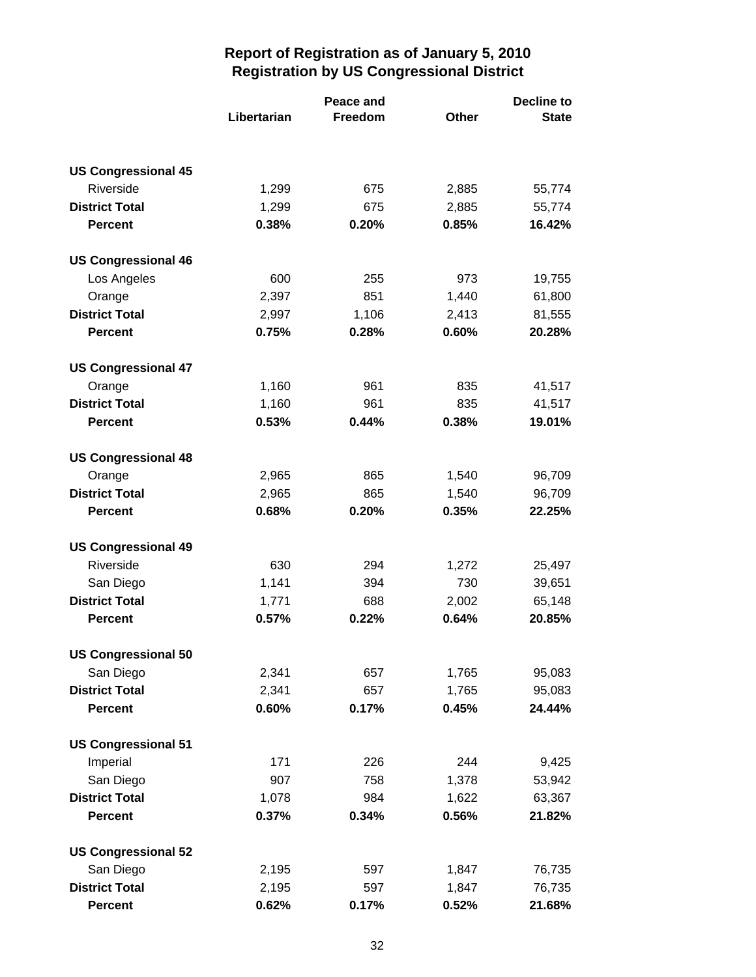|                            | Peace and   |                |       | <b>Decline to</b> |  |
|----------------------------|-------------|----------------|-------|-------------------|--|
|                            | Libertarian | <b>Freedom</b> | Other | <b>State</b>      |  |
|                            |             |                |       |                   |  |
| <b>US Congressional 45</b> |             |                |       |                   |  |
| Riverside                  | 1,299       | 675            | 2,885 | 55,774            |  |
| <b>District Total</b>      | 1,299       | 675            | 2,885 | 55,774            |  |
| <b>Percent</b>             | 0.38%       | 0.20%          | 0.85% | 16.42%            |  |
| <b>US Congressional 46</b> |             |                |       |                   |  |
| Los Angeles                | 600         | 255            | 973   | 19,755            |  |
| Orange                     | 2,397       | 851            | 1,440 | 61,800            |  |
| <b>District Total</b>      | 2,997       | 1,106          | 2,413 | 81,555            |  |
| <b>Percent</b>             | 0.75%       | 0.28%          | 0.60% | 20.28%            |  |
| <b>US Congressional 47</b> |             |                |       |                   |  |
| Orange                     | 1,160       | 961            | 835   | 41,517            |  |
| <b>District Total</b>      | 1,160       | 961            | 835   | 41,517            |  |
| <b>Percent</b>             | 0.53%       | 0.44%          | 0.38% | 19.01%            |  |
| <b>US Congressional 48</b> |             |                |       |                   |  |
| Orange                     | 2,965       | 865            | 1,540 | 96,709            |  |
| <b>District Total</b>      | 2,965       | 865            | 1,540 | 96,709            |  |
| <b>Percent</b>             | 0.68%       | 0.20%          | 0.35% | 22.25%            |  |
| <b>US Congressional 49</b> |             |                |       |                   |  |
| Riverside                  | 630         | 294            | 1,272 | 25,497            |  |
| San Diego                  | 1,141       | 394            | 730   | 39,651            |  |
| <b>District Total</b>      | 1,771       | 688            | 2,002 | 65,148            |  |
| <b>Percent</b>             | 0.57%       | 0.22%          | 0.64% | 20.85%            |  |
| <b>US Congressional 50</b> |             |                |       |                   |  |
| San Diego                  | 2,341       | 657            | 1,765 | 95,083            |  |
| <b>District Total</b>      | 2,341       | 657            | 1,765 | 95,083            |  |
| <b>Percent</b>             | 0.60%       | 0.17%          | 0.45% | 24.44%            |  |
| <b>US Congressional 51</b> |             |                |       |                   |  |
| Imperial                   | 171         | 226            | 244   | 9,425             |  |
| San Diego                  | 907         | 758            | 1,378 | 53,942            |  |
| <b>District Total</b>      | 1,078       | 984            | 1,622 | 63,367            |  |
| <b>Percent</b>             | 0.37%       | 0.34%          | 0.56% | 21.82%            |  |
| <b>US Congressional 52</b> |             |                |       |                   |  |
| San Diego                  | 2,195       | 597            | 1,847 | 76,735            |  |
| <b>District Total</b>      | 2,195       | 597            | 1,847 | 76,735            |  |
| <b>Percent</b>             | 0.62%       | 0.17%          | 0.52% | 21.68%            |  |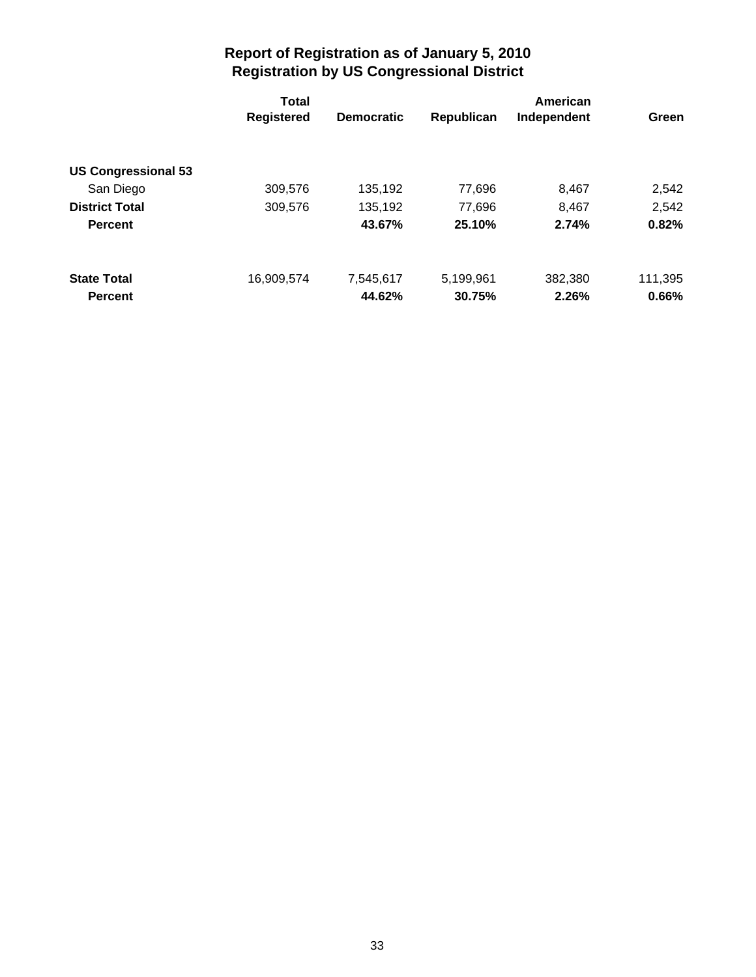|                            | <b>Total</b>      |                   |            | American    |         |  |
|----------------------------|-------------------|-------------------|------------|-------------|---------|--|
|                            | <b>Registered</b> | <b>Democratic</b> | Republican | Independent | Green   |  |
|                            |                   |                   |            |             |         |  |
| <b>US Congressional 53</b> |                   |                   |            |             |         |  |
| San Diego                  | 309,576           | 135,192           | 77,696     | 8,467       | 2,542   |  |
| <b>District Total</b>      | 309,576           | 135,192           | 77,696     | 8,467       | 2,542   |  |
| <b>Percent</b>             |                   | 43.67%            | 25.10%     | 2.74%       | 0.82%   |  |
| <b>State Total</b>         | 16.909.574        | 7,545,617         | 5,199,961  | 382,380     | 111,395 |  |
|                            |                   |                   |            |             |         |  |
| <b>Percent</b>             |                   | 44.62%            | 30.75%     | 2.26%       | 0.66%   |  |